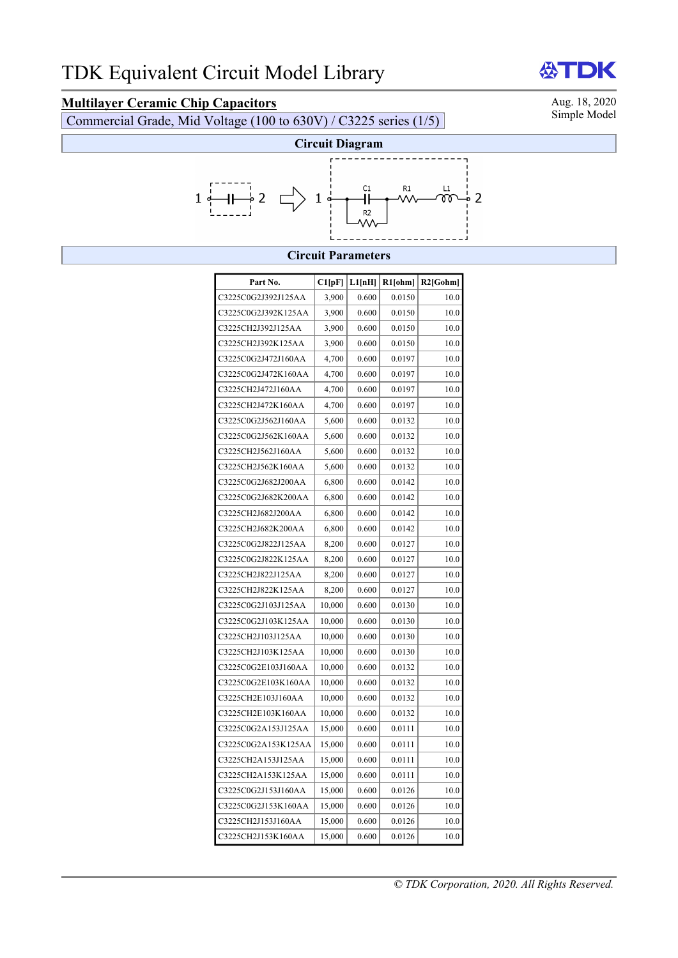## **Multilayer Ceramic Chip Capacitors**<br>
Commercial Grade, Mid Voltage (100 to 630V) / C3225 series (1/5) Simple Model

Commercial Grade, Mid Voltage (100 to 630V) / C3225 series (1/5)



### **Circuit Parameters**

| Part No.            | C1[pF] | L1[nH] | $R1$ [ohm] | $R2$ [Gohm] |
|---------------------|--------|--------|------------|-------------|
| C3225C0G2J392J125AA | 3,900  | 0.600  | 0.0150     | 10.0        |
| C3225C0G2J392K125AA | 3,900  | 0.600  | 0.0150     | 10.0        |
| C3225CH2J392J125AA  | 3,900  | 0.600  | 0.0150     | 10.0        |
| C3225CH2J392K125AA  | 3,900  | 0.600  | 0.0150     | 10.0        |
| C3225C0G2J472J160AA | 4,700  | 0.600  | 0.0197     | 10.0        |
| C3225C0G2J472K160AA | 4,700  | 0.600  | 0.0197     | 10.0        |
| C3225CH2J472J160AA  | 4,700  | 0.600  | 0.0197     | 10.0        |
| C3225CH2J472K160AA  | 4,700  | 0.600  | 0.0197     | 10.0        |
| C3225C0G2J562J160AA | 5,600  | 0.600  | 0.0132     | 10.0        |
| C3225C0G2J562K160AA | 5,600  | 0.600  | 0.0132     | 10.0        |
| C3225CH2J562J160AA  | 5,600  | 0.600  | 0.0132     | 10.0        |
| C3225CH2J562K160AA  | 5,600  | 0.600  | 0.0132     | 10.0        |
| C3225C0G2J682J200AA | 6,800  | 0.600  | 0.0142     | 10.0        |
| C3225C0G2J682K200AA | 6,800  | 0.600  | 0.0142     | 10.0        |
| C3225CH2J682J200AA  | 6,800  | 0.600  | 0.0142     | 10.0        |
| C3225CH2J682K200AA  | 6,800  | 0.600  | 0.0142     | 10.0        |
| C3225C0G2J822J125AA | 8,200  | 0.600  | 0.0127     | 10.0        |
| C3225C0G2J822K125AA | 8,200  | 0.600  | 0.0127     | 10.0        |
| C3225CH2J822J125AA  | 8,200  | 0.600  | 0.0127     | 10.0        |
| C3225CH2J822K125AA  | 8,200  | 0.600  | 0.0127     | 10.0        |
| C3225C0G2J103J125AA | 10,000 | 0.600  | 0.0130     | 10.0        |
| C3225C0G2J103K125AA | 10,000 | 0.600  | 0.0130     | 10.0        |
| C3225CH2J103J125AA  | 10,000 | 0.600  | 0.0130     | 10.0        |
| C3225CH2J103K125AA  | 10,000 | 0.600  | 0.0130     | 10.0        |
| C3225C0G2E103J160AA | 10,000 | 0.600  | 0.0132     | 10.0        |
| C3225C0G2E103K160AA | 10,000 | 0.600  | 0.0132     | 10.0        |
| C3225CH2E103J160AA  | 10,000 | 0.600  | 0.0132     | 10.0        |
| C3225CH2E103K160AA  | 10,000 | 0.600  | 0.0132     | 10.0        |
| C3225C0G2A153J125AA | 15,000 | 0.600  | 0.0111     | 10.0        |
| C3225C0G2A153K125AA | 15,000 | 0.600  | 0.0111     | 10.0        |
| C3225CH2A153J125AA  | 15,000 | 0.600  | 0.0111     | 10.0        |
| C3225CH2A153K125AA  | 15,000 | 0.600  | 0.0111     | 10.0        |
| C3225C0G2J153J160AA | 15,000 | 0.600  | 0.0126     | 10.0        |
| C3225C0G2J153K160AA | 15,000 | 0.600  | 0.0126     | 10.0        |
| C3225CH2J153J160AA  | 15,000 | 0.600  | 0.0126     | 10.0        |
| C3225CH2J153K160AA  | 15,000 | 0.600  | 0.0126     | 10.0        |

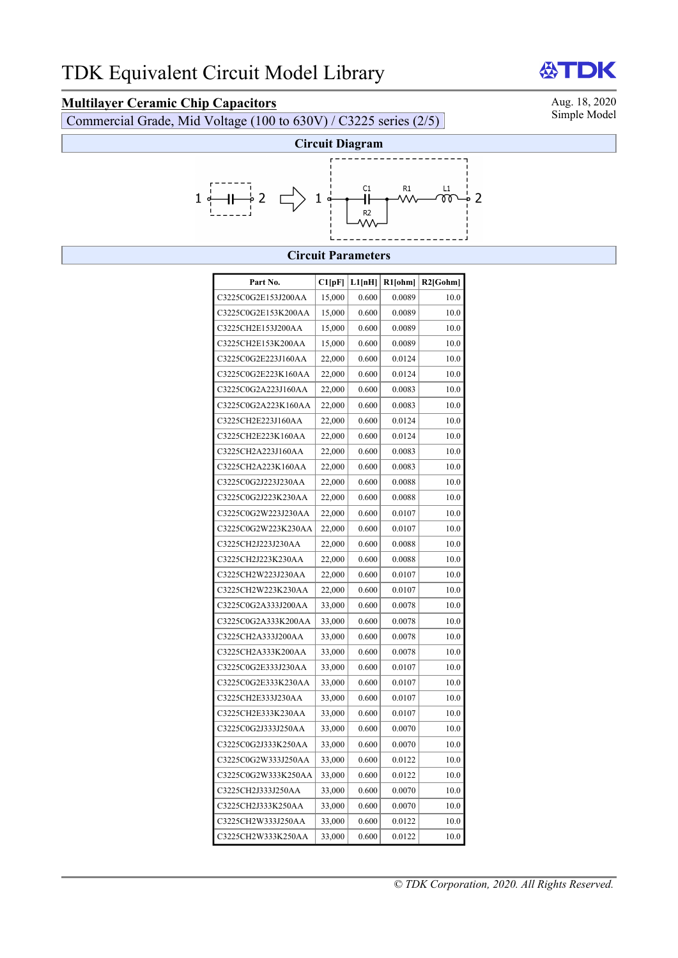# **Multilayer Ceramic Chip Capacitors**<br>Commercial Grade, Mid Voltage (100 to 630V) / C3225 series (2/5) Simple Model

Commercial Grade, Mid Voltage (100 to  $630V$ ) / C3225 series (2/5)

**ATDK** 



#### **Circuit Parameters**

| Part No.            | Cl[pF] | L1[nH] | R1[ohm] | R2[Gohm] |
|---------------------|--------|--------|---------|----------|
| C3225C0G2E153J200AA | 15,000 | 0.600  | 0.0089  | 10.0     |
| C3225C0G2E153K200AA | 15,000 | 0.600  | 0.0089  | 10.0     |
| C3225CH2E153J200AA  | 15,000 | 0.600  | 0.0089  | 10.0     |
| C3225CH2E153K200AA  | 15,000 | 0.600  | 0.0089  | 10.0     |
| C3225C0G2E223J160AA | 22,000 | 0.600  | 0.0124  | 10.0     |
| C3225C0G2E223K160AA | 22,000 | 0.600  | 0.0124  | 10.0     |
| C3225C0G2A223J160AA | 22,000 | 0.600  | 0.0083  | 10.0     |
| C3225C0G2A223K160AA | 22,000 | 0.600  | 0.0083  | 10.0     |
| C3225CH2E223J160AA  | 22,000 | 0.600  | 0.0124  | 10.0     |
| C3225CH2E223K160AA  | 22,000 | 0.600  | 0.0124  | 10.0     |
| C3225CH2A223J160AA  | 22,000 | 0.600  | 0.0083  | 10.0     |
| C3225CH2A223K160AA  | 22,000 | 0.600  | 0.0083  | 10.0     |
| C3225C0G2J223J230AA | 22,000 | 0.600  | 0.0088  | 10.0     |
| C3225C0G2J223K230AA | 22,000 | 0.600  | 0.0088  | 10.0     |
| C3225C0G2W223J230AA | 22,000 | 0.600  | 0.0107  | 10.0     |
| C3225C0G2W223K230AA | 22,000 | 0.600  | 0.0107  | 10.0     |
| C3225CH2J223J230AA  | 22,000 | 0.600  | 0.0088  | 10.0     |
| C3225CH2J223K230AA  | 22,000 | 0.600  | 0.0088  | 10.0     |
| C3225CH2W223J230AA  | 22,000 | 0.600  | 0.0107  | 10.0     |
| C3225CH2W223K230AA  | 22,000 | 0.600  | 0.0107  | 10.0     |
| C3225C0G2A333J200AA | 33,000 | 0.600  | 0.0078  | 10.0     |
| C3225C0G2A333K200AA | 33,000 | 0.600  | 0.0078  | 10.0     |
| C3225CH2A333J200AA  | 33,000 | 0.600  | 0.0078  | 10.0     |
| C3225CH2A333K200AA  | 33,000 | 0.600  | 0.0078  | 10.0     |
| C3225C0G2E333J230AA | 33,000 | 0.600  | 0.0107  | 10.0     |
| C3225C0G2E333K230AA | 33,000 | 0.600  | 0.0107  | 10.0     |
| C3225CH2E333J230AA  | 33,000 | 0.600  | 0.0107  | 10.0     |
| C3225CH2E333K230AA  | 33,000 | 0.600  | 0.0107  | 10.0     |
| C3225C0G2J333J250AA | 33,000 | 0.600  | 0.0070  | 10.0     |
| C3225C0G2J333K250AA | 33,000 | 0.600  | 0.0070  | 10.0     |
| C3225C0G2W333J250AA | 33,000 | 0.600  | 0.0122  | 10.0     |
| C3225C0G2W333K250AA | 33,000 | 0.600  | 0.0122  | 10.0     |
| C3225CH2J333J250AA  | 33,000 | 0.600  | 0.0070  | 10.0     |
| C3225CH2J333K250AA  | 33,000 | 0.600  | 0.0070  | 10.0     |
| C3225CH2W333J250AA  | 33,000 | 0.600  | 0.0122  | 10.0     |
| C3225CH2W333K250AA  | 33,000 | 0.600  | 0.0122  | 10.0     |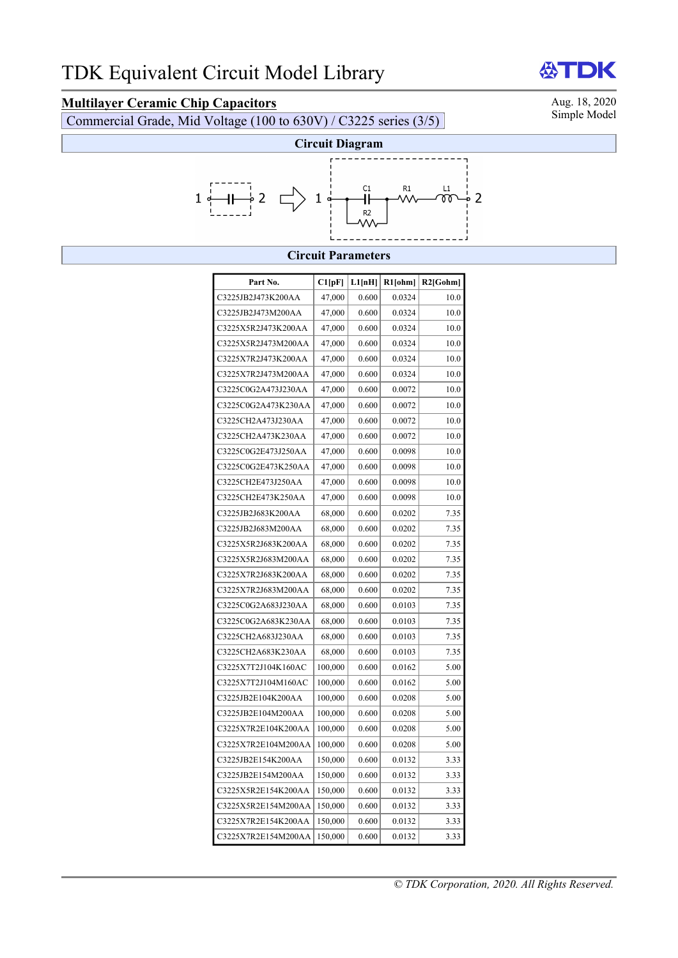# **Multilayer Ceramic Chip Capacitors**<br>Commercial Grade, Mid Voltage (100 to 630V) / C3225 series (3/5) Simple Model

Commercial Grade, Mid Voltage (100 to 630V) / C3225 series (3/5)

**ATDK** 



#### **Circuit Parameters**

| Part No.            | Cl[pF]  | L1[nH] | $R1$ [ohm] | R2[Gohm] |
|---------------------|---------|--------|------------|----------|
| C3225JB2J473K200AA  | 47,000  | 0.600  | 0.0324     | 10.0     |
| C3225JB2J473M200AA  | 47,000  | 0.600  | 0.0324     | 10.0     |
| C3225X5R2J473K200AA | 47,000  | 0.600  | 0.0324     | 10.0     |
| C3225X5R2J473M200AA | 47,000  | 0.600  | 0.0324     | 10.0     |
| C3225X7R2J473K200AA | 47,000  | 0.600  | 0.0324     | 10.0     |
| C3225X7R2J473M200AA | 47,000  | 0.600  | 0.0324     | 10.0     |
| C3225C0G2A473J230AA | 47,000  | 0.600  | 0.0072     | 10.0     |
| C3225C0G2A473K230AA | 47,000  | 0.600  | 0.0072     | 10.0     |
| C3225CH2A473J230AA  | 47,000  | 0.600  | 0.0072     | 10.0     |
| C3225CH2A473K230AA  | 47,000  | 0.600  | 0.0072     | 10.0     |
| C3225C0G2E473J250AA | 47,000  | 0.600  | 0.0098     | 10.0     |
| C3225C0G2E473K250AA | 47,000  | 0.600  | 0.0098     | 10.0     |
| C3225CH2E473J250AA  | 47,000  | 0.600  | 0.0098     | 10.0     |
| C3225CH2E473K250AA  | 47,000  | 0.600  | 0.0098     | 10.0     |
| C3225JB2J683K200AA  | 68,000  | 0.600  | 0.0202     | 7.35     |
| C3225JB2J683M200AA  | 68,000  | 0.600  | 0.0202     | 7.35     |
| C3225X5R2J683K200AA | 68,000  | 0.600  | 0.0202     | 7.35     |
| C3225X5R2J683M200AA | 68,000  | 0.600  | 0.0202     | 7.35     |
| C3225X7R2J683K200AA | 68,000  | 0.600  | 0.0202     | 7.35     |
| C3225X7R2J683M200AA | 68,000  | 0.600  | 0.0202     | 7.35     |
| C3225C0G2A683J230AA | 68,000  | 0.600  | 0.0103     | 7.35     |
| C3225C0G2A683K230AA | 68,000  | 0.600  | 0.0103     | 7.35     |
| C3225CH2A683J230AA  | 68,000  | 0.600  | 0.0103     | 7.35     |
| C3225CH2A683K230AA  | 68,000  | 0.600  | 0.0103     | 7.35     |
| C3225X7T2J104K160AC | 100,000 | 0.600  | 0.0162     | 5.00     |
| C3225X7T2J104M160AC | 100,000 | 0.600  | 0.0162     | 5.00     |
| C3225JB2E104K200AA  | 100,000 | 0.600  | 0.0208     | 5.00     |
| C3225JB2E104M200AA  | 100,000 | 0.600  | 0.0208     | 5.00     |
| C3225X7R2E104K200AA | 100,000 | 0.600  | 0.0208     | 5.00     |
| C3225X7R2E104M200AA | 100,000 | 0.600  | 0.0208     | 5.00     |
| C3225JB2E154K200AA  | 150,000 | 0.600  | 0.0132     | 3.33     |
| C3225JB2E154M200AA  | 150,000 | 0.600  | 0.0132     | 3.33     |
| C3225X5R2E154K200AA | 150,000 | 0.600  | 0.0132     | 3.33     |
| C3225X5R2E154M200AA | 150,000 | 0.600  | 0.0132     | 3.33     |
| C3225X7R2E154K200AA | 150,000 | 0.600  | 0.0132     | 3.33     |
| C3225X7R2E154M200AA | 150,000 | 0.600  | 0.0132     | 3.33     |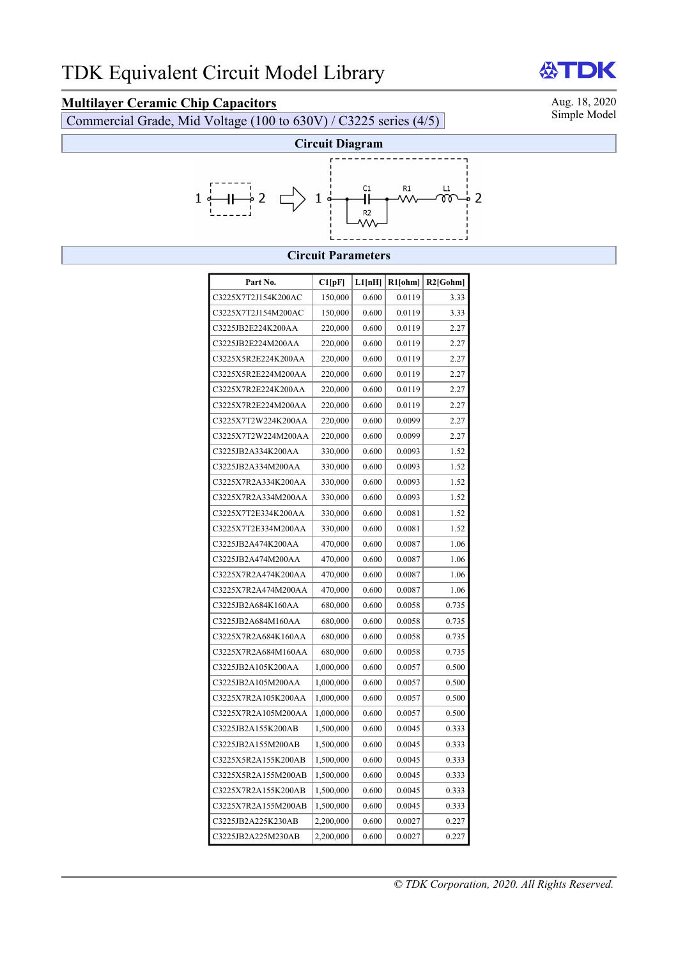## **Multilayer Ceramic Chip Capacitors**<br>Commercial Grade, Mid Voltage (100 to 630V) / C3225 series (4/5) Simple Model

Commercial Grade, Mid Voltage (100 to  $630V$ ) / C3225 series (4/5)



### **Circuit Parameters**

| Part No.            | Cl[pF]    | L1[nH] | $R1$ [ohm] | $R2$ [Gohm] |
|---------------------|-----------|--------|------------|-------------|
| C3225X7T2J154K200AC | 150,000   | 0.600  | 0.0119     | 3.33        |
| C3225X7T2J154M200AC | 150,000   | 0.600  | 0.0119     | 3.33        |
| C3225JB2E224K200AA  | 220,000   | 0.600  | 0.0119     | 2.27        |
| C3225JB2E224M200AA  | 220,000   | 0.600  | 0.0119     | 2.27        |
| C3225X5R2E224K200AA | 220,000   | 0.600  | 0.0119     | 2.27        |
| C3225X5R2E224M200AA | 220,000   | 0.600  | 0.0119     | 2.27        |
| C3225X7R2E224K200AA | 220,000   | 0.600  | 0.0119     | 2.27        |
| C3225X7R2E224M200AA | 220,000   | 0.600  | 0.0119     | 2.27        |
| C3225X7T2W224K200AA | 220,000   | 0.600  | 0.0099     | 2.27        |
| C3225X7T2W224M200AA | 220,000   | 0.600  | 0.0099     | 2.27        |
| C3225JB2A334K200AA  | 330,000   | 0.600  | 0.0093     | 1.52        |
| C3225JB2A334M200AA  | 330,000   | 0.600  | 0.0093     | 1.52        |
| C3225X7R2A334K200AA | 330,000   | 0.600  | 0.0093     | 1.52        |
| C3225X7R2A334M200AA | 330,000   | 0.600  | 0.0093     | 1.52        |
| C3225X7T2E334K200AA | 330,000   | 0.600  | 0.0081     | 1.52        |
| C3225X7T2E334M200AA | 330,000   | 0.600  | 0.0081     | 1.52        |
| C3225JB2A474K200AA  | 470,000   | 0.600  | 0.0087     | 1.06        |
| C3225JB2A474M200AA  | 470,000   | 0.600  | 0.0087     | 1.06        |
| C3225X7R2A474K200AA | 470,000   | 0.600  | 0.0087     | 1.06        |
| C3225X7R2A474M200AA | 470,000   | 0.600  | 0.0087     | 1.06        |
| C3225JB2A684K160AA  | 680,000   | 0.600  | 0.0058     | 0.735       |
| C3225JB2A684M160AA  | 680,000   | 0.600  | 0.0058     | 0.735       |
| C3225X7R2A684K160AA | 680,000   | 0.600  | 0.0058     | 0.735       |
| C3225X7R2A684M160AA | 680,000   | 0.600  | 0.0058     | 0.735       |
| C3225JB2A105K200AA  | 1,000,000 | 0.600  | 0.0057     | 0.500       |
| C3225JB2A105M200AA  | 1,000,000 | 0.600  | 0.0057     | 0.500       |
| C3225X7R2A105K200AA | 1,000,000 | 0.600  | 0.0057     | 0.500       |
| C3225X7R2A105M200AA | 1,000,000 | 0.600  | 0.0057     | 0.500       |
| C3225JB2A155K200AB  | 1,500,000 | 0.600  | 0.0045     | 0.333       |
| C3225JB2A155M200AB  | 1,500,000 | 0.600  | 0.0045     | 0.333       |
| C3225X5R2A155K200AB | 1,500,000 | 0.600  | 0.0045     | 0.333       |
| C3225X5R2A155M200AB | 1,500,000 | 0.600  | 0.0045     | 0.333       |
| C3225X7R2A155K200AB | 1,500,000 | 0.600  | 0.0045     | 0.333       |
| C3225X7R2A155M200AB | 1,500,000 | 0.600  | 0.0045     | 0.333       |
| C3225JB2A225K230AB  | 2,200,000 | 0.600  | 0.0027     | 0.227       |
| C3225JB2A225M230AB  | 2,200,000 | 0.600  | 0.0027     | 0.227       |

*© TDK Corporation, 2020. All Rights Reserved.*